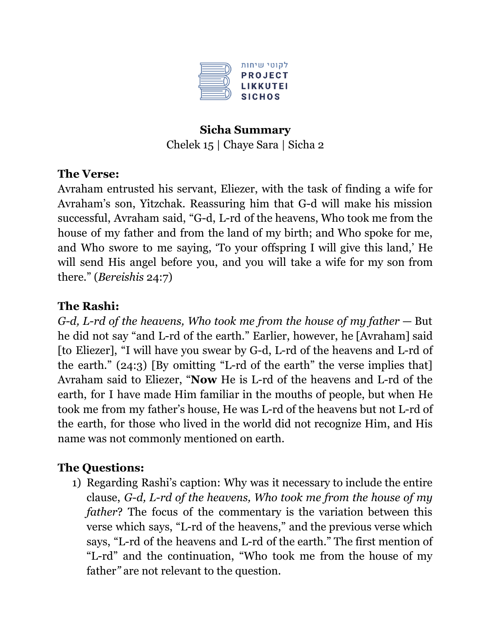

## **Sicha Summary** Chelek 15 | Chaye Sara | Sicha 2

#### **The Verse:**

Avraham entrusted his servant, Eliezer, with the task of finding a wife for Avraham's son, Yitzchak. Reassuring him that G-d will make his mission successful, Avraham said, "G-d, L-rd of the heavens, Who took me from the house of my father and from the land of my birth; and Who spoke for me, and Who swore to me saying, 'To your offspring I will give this land,' He will send His angel before you, and you will take a wife for my son from there." (*Bereishis* 24:7)

#### **The Rashi:**

*G-d, L-rd of the heavens, Who took me from the house of my father* — But he did not say "and L-rd of the earth." Earlier, however, he [Avraham] said [to Eliezer], "I will have you swear by G-d, L-rd of the heavens and L-rd of the earth." (24:3) [By omitting "L-rd of the earth" the verse implies that] Avraham said to Eliezer, "**Now** He is L-rd of the heavens and L-rd of the earth, for I have made Him familiar in the mouths of people, but when He took me from my father's house, He was L-rd of the heavens but not L-rd of the earth, for those who lived in the world did not recognize Him, and His name was not commonly mentioned on earth.

### **The Questions:**

1) Regarding Rashi's caption: Why was it necessary to include the entire clause, *G-d, L-rd of the heavens, Who took me from the house of my father*? The focus of the commentary is the variation between this verse which says, "L-rd of the heavens," and the previous verse which says, "L-rd of the heavens and L-rd of the earth." The first mention of "L-rd" and the continuation, "Who took me from the house of my father*"* are not relevant to the question.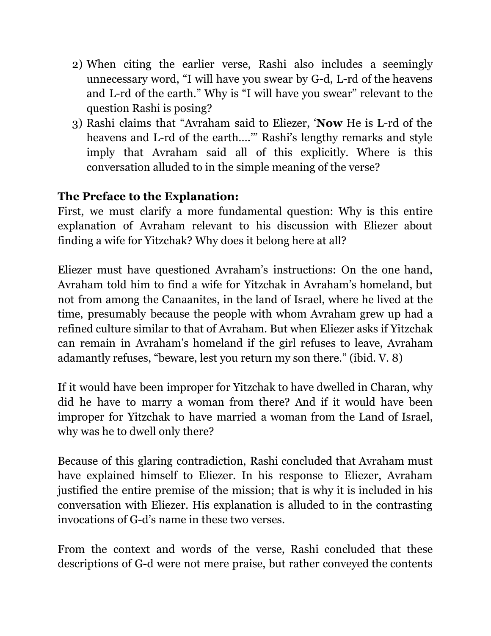- 2) When citing the earlier verse, Rashi also includes a seemingly unnecessary word, "I will have you swear by G-d, L-rd of the heavens and L-rd of the earth." Why is "I will have you swear" relevant to the question Rashi is posing?
- 3) Rashi claims that "Avraham said to Eliezer, '**Now** He is L-rd of the heavens and L-rd of the earth...." Rashi's lengthy remarks and style imply that Avraham said all of this explicitly. Where is this conversation alluded to in the simple meaning of the verse?

### **The Preface to the Explanation:**

First, we must clarify a more fundamental question: Why is this entire explanation of Avraham relevant to his discussion with Eliezer about finding a wife for Yitzchak? Why does it belong here at all?

Eliezer must have questioned Avraham's instructions: On the one hand, Avraham told him to find a wife for Yitzchak in Avraham's homeland, but not from among the Canaanites, in the land of Israel, where he lived at the time, presumably because the people with whom Avraham grew up had a refined culture similar to that of Avraham. But when Eliezer asks if Yitzchak can remain in Avraham's homeland if the girl refuses to leave, Avraham adamantly refuses, "beware, lest you return my son there." (ibid. V. 8)

If it would have been improper for Yitzchak to have dwelled in Charan, why did he have to marry a woman from there? And if it would have been improper for Yitzchak to have married a woman from the Land of Israel, why was he to dwell only there?

Because of this glaring contradiction, Rashi concluded that Avraham must have explained himself to Eliezer. In his response to Eliezer, Avraham justified the entire premise of the mission; that is why it is included in his conversation with Eliezer. His explanation is alluded to in the contrasting invocations of G-d's name in these two verses.

From the context and words of the verse, Rashi concluded that these descriptions of G-d were not mere praise, but rather conveyed the contents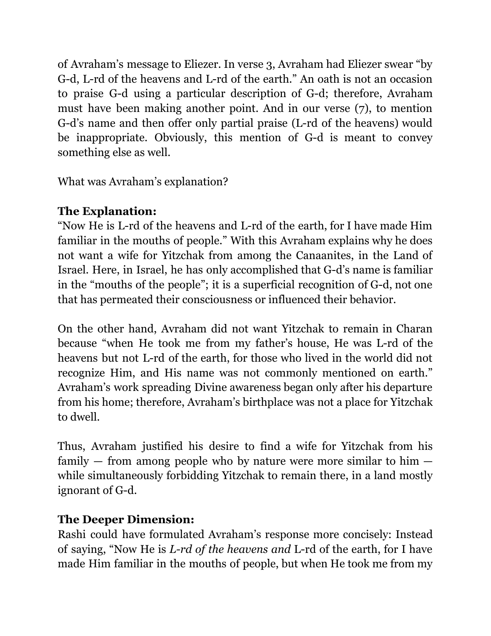of Avraham's message to Eliezer. In verse 3, Avraham had Eliezer swear "by G-d, L-rd of the heavens and L-rd of the earth." An oath is not an occasion to praise G-d using a particular description of G-d; therefore, Avraham must have been making another point. And in our verse (7), to mention G-d's name and then offer only partial praise (L-rd of the heavens) would be inappropriate. Obviously, this mention of G-d is meant to convey something else as well.

What was Avraham's explanation?

# **The Explanation:**

"Now He is L-rd of the heavens and L-rd of the earth, for I have made Him familiar in the mouths of people." With this Avraham explains why he does not want a wife for Yitzchak from among the Canaanites, in the Land of Israel. Here, in Israel, he has only accomplished that G-d's name is familiar in the "mouths of the people"; it is a superficial recognition of G-d, not one that has permeated their consciousness or influenced their behavior.

On the other hand, Avraham did not want Yitzchak to remain in Charan because "when He took me from my father's house, He was L-rd of the heavens but not L-rd of the earth, for those who lived in the world did not recognize Him, and His name was not commonly mentioned on earth." Avraham's work spreading Divine awareness began only after his departure from his home; therefore, Avraham's birthplace was not a place for Yitzchak to dwell.

Thus, Avraham justified his desire to find a wife for Yitzchak from his family  $-$  from among people who by nature were more similar to him  $$ while simultaneously forbidding Yitzchak to remain there, in a land mostly ignorant of G-d.

# **The Deeper Dimension:**

Rashi could have formulated Avraham's response more concisely: Instead of saying, "Now He is *L-rd of the heavens and* L-rd of the earth, for I have made Him familiar in the mouths of people, but when He took me from my